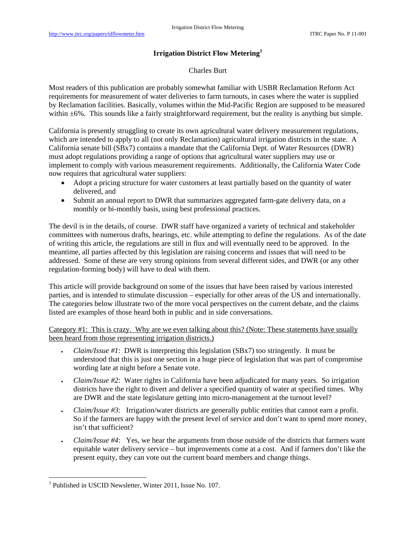## **Irrigation District Flow Metering<sup>1</sup>**

## Charles Burt

Most readers of this publication are probably somewhat familiar with USBR Reclamation Reform Act requirements for measurement of water deliveries to farm turnouts, in cases where the water is supplied by Reclamation facilities. Basically, volumes within the Mid-Pacific Region are supposed to be measured within  $\pm 6\%$ . This sounds like a fairly straightforward requirement, but the reality is anything but simple.

California is presently struggling to create its own agricultural water delivery measurement regulations, which are intended to apply to all (not only Reclamation) agricultural irrigation districts in the state. A California senate bill (SBx7) contains a mandate that the California Dept. of Water Resources (DWR) must adopt regulations providing a range of options that agricultural water suppliers may use or implement to comply with various measurement requirements. Additionally, the California Water Code now requires that agricultural water suppliers:

- Adopt a pricing structure for water customers at least partially based on the quantity of water delivered, and
- Submit an annual report to DWR that summarizes aggregated farm-gate delivery data, on a monthly or bi-monthly basis, using best professional practices.

The devil is in the details, of course. DWR staff have organized a variety of technical and stakeholder committees with numerous drafts, hearings, etc. while attempting to define the regulations. As of the date of writing this article, the regulations are still in flux and will eventually need to be approved. In the meantime, all parties affected by this legislation are raising concerns and issues that will need to be addressed. Some of these are very strong opinions from several different sides, and DWR (or any other regulation-forming body) will have to deal with them.

This article will provide background on some of the issues that have been raised by various interested parties, and is intended to stimulate discussion – especially for other areas of the US and internationally. The categories below illustrate two of the more vocal perspectives on the current debate, and the claims listed are examples of those heard both in public and in side conversations.

Category #1: This is crazy. Why are we even talking about this? (Note: These statements have usually been heard from those representing irrigation districts.)

- *Claim/Issue #1*: DWR is interpreting this legislation (SBx7) too stringently. It must be understood that this is just one section in a huge piece of legislation that was part of compromise wording late at night before a Senate vote.
- *Claim/Issue #2*: Water rights in California have been adjudicated for many years. So irrigation districts have the right to divert and deliver a specified quantity of water at specified times. Why are DWR and the state legislature getting into micro-management at the turnout level?
- *Claim/Issue #3*: Irrigation/water districts are generally public entities that cannot earn a profit. So if the farmers are happy with the present level of service and don't want to spend more money, isn't that sufficient?
- *Claim/Issue #4*: Yes, we hear the arguments from those outside of the districts that farmers want equitable water delivery service – but improvements come at a cost. And if farmers don't like the present equity, they can vote out the current board members and change things.

<sup>&</sup>lt;sup>1</sup> Published in USCID Newsletter, Winter 2011, Issue No. 107.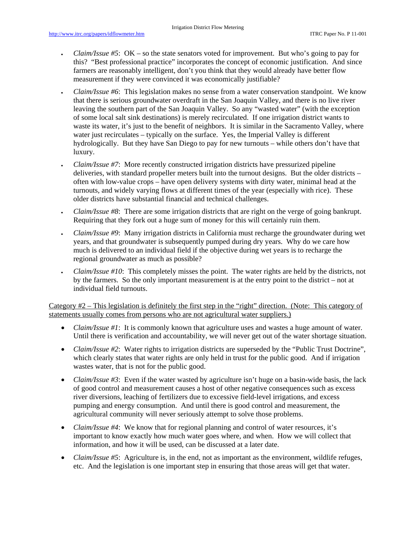- *Claim/Issue #5*: OK so the state senators voted for improvement. But who's going to pay for this? "Best professional practice" incorporates the concept of economic justification. And since farmers are reasonably intelligent, don't you think that they would already have better flow measurement if they were convinced it was economically justifiable?
- *Claim/Issue #6*: This legislation makes no sense from a water conservation standpoint. We know that there is serious groundwater overdraft in the San Joaquin Valley, and there is no live river leaving the southern part of the San Joaquin Valley. So any "wasted water" (with the exception of some local salt sink destinations) is merely recirculated. If one irrigation district wants to waste its water, it's just to the benefit of neighbors. It is similar in the Sacramento Valley, where water just recirculates – typically on the surface. Yes, the Imperial Valley is different hydrologically. But they have San Diego to pay for new turnouts – while others don't have that luxury.
- *Claim/Issue #7*: More recently constructed irrigation districts have pressurized pipeline deliveries, with standard propeller meters built into the turnout designs. But the older districts – often with low-value crops – have open delivery systems with dirty water, minimal head at the turnouts, and widely varying flows at different times of the year (especially with rice). These older districts have substantial financial and technical challenges.
- *Claim/Issue #8*: There are some irrigation districts that are right on the verge of going bankrupt. Requiring that they fork out a huge sum of money for this will certainly ruin them.
- *Claim/Issue #9*: Many irrigation districts in California must recharge the groundwater during wet years, and that groundwater is subsequently pumped during dry years. Why do we care how much is delivered to an individual field if the objective during wet years is to recharge the regional groundwater as much as possible?
- *Claim/Issue #10*: This completely misses the point. The water rights are held by the districts, not by the farmers. So the only important measurement is at the entry point to the district – not at individual field turnouts.

Category #2 – This legislation is definitely the first step in the "right" direction. (Note: This category of statements usually comes from persons who are not agricultural water suppliers.)

- *Claim/Issue #1*: It is commonly known that agriculture uses and wastes a huge amount of water. Until there is verification and accountability, we will never get out of the water shortage situation.
- *Claim/Issue #2*: Water rights to irrigation districts are superseded by the "Public Trust Doctrine", which clearly states that water rights are only held in trust for the public good. And if irrigation wastes water, that is not for the public good.
- *Claim/Issue #3*: Even if the water wasted by agriculture isn't huge on a basin-wide basis, the lack of good control and measurement causes a host of other negative consequences such as excess river diversions, leaching of fertilizers due to excessive field-level irrigations, and excess pumping and energy consumption. And until there is good control and measurement, the agricultural community will never seriously attempt to solve those problems.
- *Claim/Issue #4*: We know that for regional planning and control of water resources, it's important to know exactly how much water goes where, and when. How we will collect that information, and how it will be used, can be discussed at a later date.
- *Claim/Issue #5*: Agriculture is, in the end, not as important as the environment, wildlife refuges, etc. And the legislation is one important step in ensuring that those areas will get that water.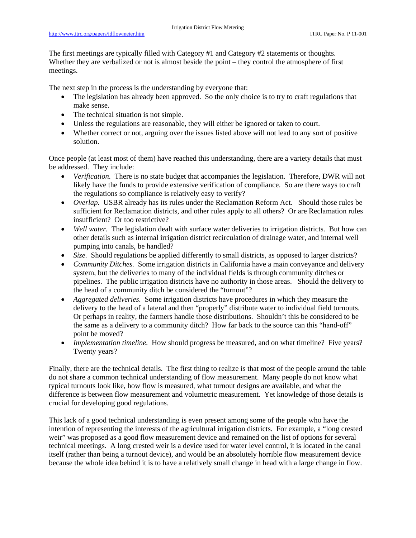The first meetings are typically filled with Category #1 and Category #2 statements or thoughts. Whether they are verbalized or not is almost beside the point – they control the atmosphere of first meetings.

The next step in the process is the understanding by everyone that:

- The legislation has already been approved. So the only choice is to try to craft regulations that make sense.
- The technical situation is not simple.
- Unless the regulations are reasonable, they will either be ignored or taken to court.
- Whether correct or not, arguing over the issues listed above will not lead to any sort of positive solution.

Once people (at least most of them) have reached this understanding, there are a variety details that must be addressed. They include:

- *Verification.* There is no state budget that accompanies the legislation. Therefore, DWR will not likely have the funds to provide extensive verification of compliance. So are there ways to craft the regulations so compliance is relatively easy to verify?
- *Overlap.* USBR already has its rules under the Reclamation Reform Act. Should those rules be sufficient for Reclamation districts, and other rules apply to all others? Or are Reclamation rules insufficient? Or too restrictive?
- *Well water.* The legislation dealt with surface water deliveries to irrigation districts. But how can other details such as internal irrigation district recirculation of drainage water, and internal well pumping into canals, be handled?
- *Size.* Should regulations be applied differently to small districts, as opposed to larger districts?
- *Community Ditches.* Some irrigation districts in California have a main conveyance and delivery system, but the deliveries to many of the individual fields is through community ditches or pipelines. The public irrigation districts have no authority in those areas. Should the delivery to the head of a community ditch be considered the "turnout"?
- *Aggregated deliveries.* Some irrigation districts have procedures in which they measure the delivery to the head of a lateral and then "properly" distribute water to individual field turnouts. Or perhaps in reality, the farmers handle those distributions. Shouldn't this be considered to be the same as a delivery to a community ditch? How far back to the source can this "hand-off" point be moved?
- *Implementation timeline*. How should progress be measured, and on what timeline? Five years? Twenty years?

Finally, there are the technical details. The first thing to realize is that most of the people around the table do not share a common technical understanding of flow measurement. Many people do not know what typical turnouts look like, how flow is measured, what turnout designs are available, and what the difference is between flow measurement and volumetric measurement. Yet knowledge of those details is crucial for developing good regulations.

This lack of a good technical understanding is even present among some of the people who have the intention of representing the interests of the agricultural irrigation districts. For example, a "long crested weir" was proposed as a good flow measurement device and remained on the list of options for several technical meetings. A long crested weir is a device used for water level control, it is located in the canal itself (rather than being a turnout device), and would be an absolutely horrible flow measurement device because the whole idea behind it is to have a relatively small change in head with a large change in flow.